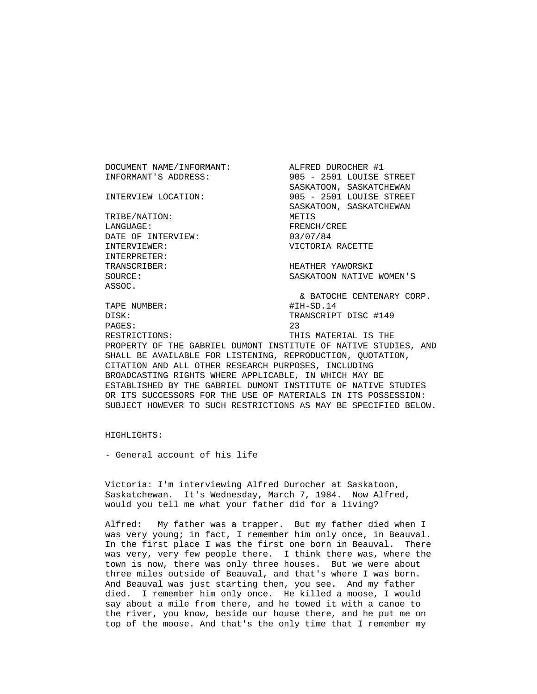DOCUMENT NAME/INFORMANT: ALFRED DUROCHER #1 INFORMANT'S ADDRESS: 905 - 2501 LOUISE STREET SASKATOON, SASKATCHEWAN INTERVIEW LOCATION: 905 - 2501 LOUISE STREET SASKATOON, SASKATCHEWAN TRIBE/NATION: METIS LANGUAGE: FRENCH/CREE DATE OF INTERVIEW: 03/07/84 INTERVIEWER: VICTORIA RACETTE INTERPRETER: TRANSCRIBER: HEATHER YAWORSKI SOURCE: SASKATOON NATIVE WOMEN'S ASSOC. & BATOCHE CENTENARY CORP. TAPE NUMBER: #IH-SD.14 DISK: TRANSCRIPT DISC #149 PAGES: 23 RESTRICTIONS: THIS MATERIAL IS THE PROPERTY OF THE GABRIEL DUMONT INSTITUTE OF NATIVE STUDIES, AND SHALL BE AVAILABLE FOR LISTENING, REPRODUCTION, QUOTATION, CITATION AND ALL OTHER RESEARCH PURPOSES, INCLUDING BROADCASTING RIGHTS WHERE APPLICABLE, IN WHICH MAY BE ESTABLISHED BY THE GABRIEL DUMONT INSTITUTE OF NATIVE STUDIES OR ITS SUCCESSORS FOR THE USE OF MATERIALS IN ITS POSSESSION:

SUBJECT HOWEVER TO SUCH RESTRICTIONS AS MAY BE SPECIFIED BELOW.

HIGHLIGHTS:

- General account of his life

 Victoria: I'm interviewing Alfred Durocher at Saskatoon, Saskatchewan. It's Wednesday, March 7, 1984. Now Alfred, would you tell me what your father did for a living?

 Alfred: My father was a trapper. But my father died when I was very young; in fact, I remember him only once, in Beauval. In the first place I was the first one born in Beauval. There was very, very few people there. I think there was, where the town is now, there was only three houses. But we were about three miles outside of Beauval, and that's where I was born. And Beauval was just starting then, you see. And my father died. I remember him only once. He killed a moose, I would say about a mile from there, and he towed it with a canoe to the river, you know, beside our house there, and he put me on top of the moose. And that's the only time that I remember my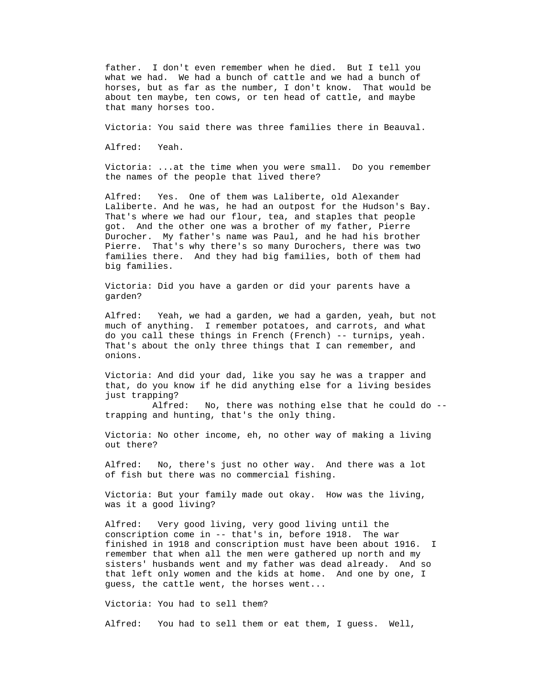father. I don't even remember when he died. But I tell you what we had. We had a bunch of cattle and we had a bunch of horses, but as far as the number, I don't know. That would be about ten maybe, ten cows, or ten head of cattle, and maybe that many horses too.

Victoria: You said there was three families there in Beauval.

Alfred: Yeah.

 Victoria: ...at the time when you were small. Do you remember the names of the people that lived there?

 Alfred: Yes. One of them was Laliberte, old Alexander Laliberte. And he was, he had an outpost for the Hudson's Bay. That's where we had our flour, tea, and staples that people got. And the other one was a brother of my father, Pierre Durocher. My father's name was Paul, and he had his brother Pierre. That's why there's so many Durochers, there was two families there. And they had big families, both of them had big families.

 Victoria: Did you have a garden or did your parents have a garden?

 Alfred: Yeah, we had a garden, we had a garden, yeah, but not much of anything. I remember potatoes, and carrots, and what do you call these things in French (French) -- turnips, yeah. That's about the only three things that I can remember, and onions.

 Victoria: And did your dad, like you say he was a trapper and that, do you know if he did anything else for a living besides just trapping?

 Alfred: No, there was nothing else that he could do - trapping and hunting, that's the only thing.

 Victoria: No other income, eh, no other way of making a living out there?

 Alfred: No, there's just no other way. And there was a lot of fish but there was no commercial fishing.

 Victoria: But your family made out okay. How was the living, was it a good living?

 Alfred: Very good living, very good living until the conscription come in -- that's in, before 1918. The war finished in 1918 and conscription must have been about 1916. I remember that when all the men were gathered up north and my sisters' husbands went and my father was dead already. And so that left only women and the kids at home. And one by one, I guess, the cattle went, the horses went...

Victoria: You had to sell them?

Alfred: You had to sell them or eat them, I guess. Well,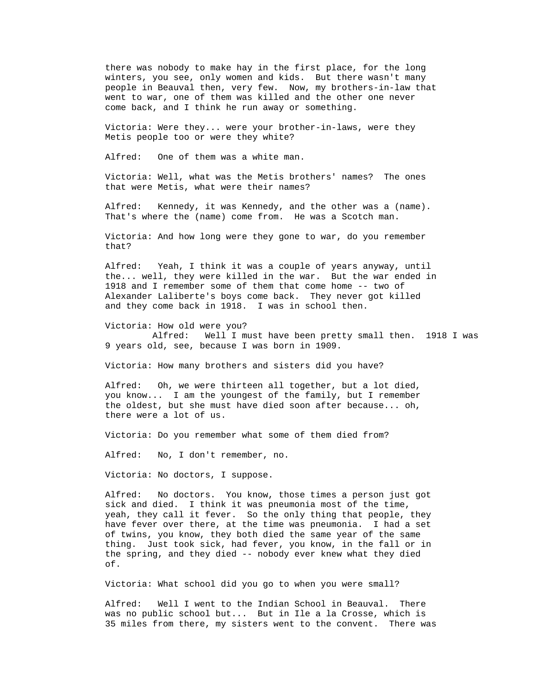there was nobody to make hay in the first place, for the long winters, you see, only women and kids. But there wasn't many people in Beauval then, very few. Now, my brothers-in-law that went to war, one of them was killed and the other one never come back, and I think he run away or something.

 Victoria: Were they... were your brother-in-laws, were they Metis people too or were they white?

Alfred: One of them was a white man.

 Victoria: Well, what was the Metis brothers' names? The ones that were Metis, what were their names?

 Alfred: Kennedy, it was Kennedy, and the other was a (name). That's where the (name) come from. He was a Scotch man.

 Victoria: And how long were they gone to war, do you remember that?

 Alfred: Yeah, I think it was a couple of years anyway, until the... well, they were killed in the war. But the war ended in 1918 and I remember some of them that come home -- two of Alexander Laliberte's boys come back. They never got killed and they come back in 1918. I was in school then.

 Victoria: How old were you? Alfred: Well I must have been pretty small then. 1918 I was 9 years old, see, because I was born in 1909.

Victoria: How many brothers and sisters did you have?

 Alfred: Oh, we were thirteen all together, but a lot died, you know... I am the youngest of the family, but I remember the oldest, but she must have died soon after because... oh, there were a lot of us.

Victoria: Do you remember what some of them died from?

Alfred: No, I don't remember, no.

Victoria: No doctors, I suppose.

 Alfred: No doctors. You know, those times a person just got sick and died. I think it was pneumonia most of the time, yeah, they call it fever. So the only thing that people, they have fever over there, at the time was pneumonia. I had a set of twins, you know, they both died the same year of the same thing. Just took sick, had fever, you know, in the fall or in the spring, and they died -- nobody ever knew what they died of.

Victoria: What school did you go to when you were small?

 Alfred: Well I went to the Indian School in Beauval. There was no public school but... But in Ile a la Crosse, which is 35 miles from there, my sisters went to the convent. There was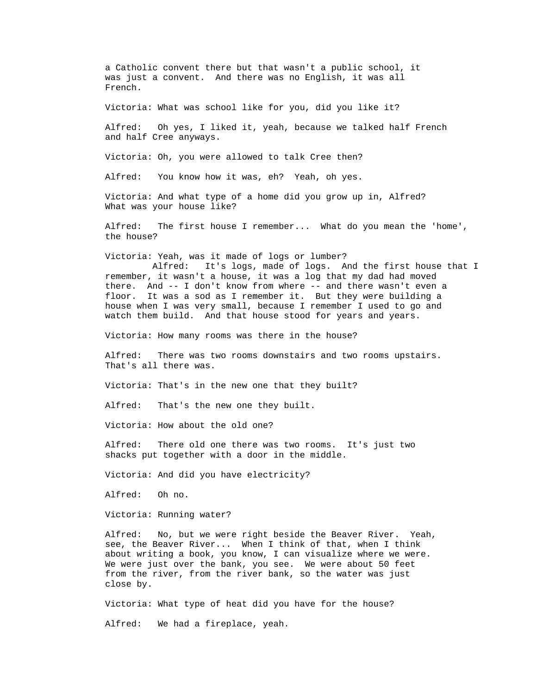a Catholic convent there but that wasn't a public school, it was just a convent. And there was no English, it was all French.

Victoria: What was school like for you, did you like it?

 Alfred: Oh yes, I liked it, yeah, because we talked half French and half Cree anyways.

Victoria: Oh, you were allowed to talk Cree then?

Alfred: You know how it was, eh? Yeah, oh yes.

 Victoria: And what type of a home did you grow up in, Alfred? What was your house like?

 Alfred: The first house I remember... What do you mean the 'home', the house?

Victoria: Yeah, was it made of logs or lumber?

 Alfred: It's logs, made of logs. And the first house that I remember, it wasn't a house, it was a log that my dad had moved there. And -- I don't know from where -- and there wasn't even a floor. It was a sod as I remember it. But they were building a house when I was very small, because I remember I used to go and watch them build. And that house stood for years and years.

Victoria: How many rooms was there in the house?

 Alfred: There was two rooms downstairs and two rooms upstairs. That's all there was.

Victoria: That's in the new one that they built?

Alfred: That's the new one they built.

Victoria: How about the old one?

 Alfred: There old one there was two rooms. It's just two shacks put together with a door in the middle.

Victoria: And did you have electricity?

Alfred: Oh no.

Victoria: Running water?

 Alfred: No, but we were right beside the Beaver River. Yeah, see, the Beaver River... When I think of that, when I think about writing a book, you know, I can visualize where we were. We were just over the bank, you see. We were about 50 feet from the river, from the river bank, so the water was just close by.

Victoria: What type of heat did you have for the house?

Alfred: We had a fireplace, yeah.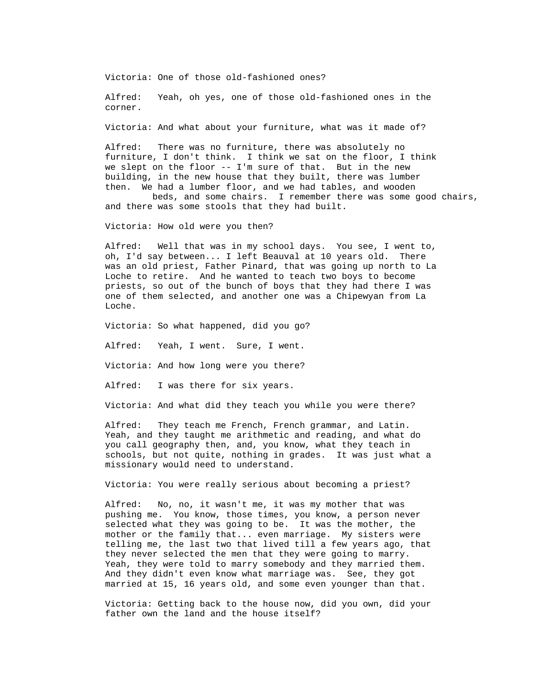Victoria: One of those old-fashioned ones?

 Alfred: Yeah, oh yes, one of those old-fashioned ones in the corner.

Victoria: And what about your furniture, what was it made of?

 Alfred: There was no furniture, there was absolutely no furniture, I don't think. I think we sat on the floor, I think we slept on the floor -- I'm sure of that. But in the new building, in the new house that they built, there was lumber then. We had a lumber floor, and we had tables, and wooden

 beds, and some chairs. I remember there was some good chairs, and there was some stools that they had built.

Victoria: How old were you then?

 Alfred: Well that was in my school days. You see, I went to, oh, I'd say between... I left Beauval at 10 years old. There was an old priest, Father Pinard, that was going up north to La Loche to retire. And he wanted to teach two boys to become priests, so out of the bunch of boys that they had there I was one of them selected, and another one was a Chipewyan from La Loche.

Victoria: So what happened, did you go?

Alfred: Yeah, I went. Sure, I went.

Victoria: And how long were you there?

Alfred: I was there for six years.

Victoria: And what did they teach you while you were there?

 Alfred: They teach me French, French grammar, and Latin. Yeah, and they taught me arithmetic and reading, and what do you call geography then, and, you know, what they teach in schools, but not quite, nothing in grades. It was just what a missionary would need to understand.

Victoria: You were really serious about becoming a priest?

 Alfred: No, no, it wasn't me, it was my mother that was pushing me. You know, those times, you know, a person never selected what they was going to be. It was the mother, the mother or the family that... even marriage. My sisters were telling me, the last two that lived till a few years ago, that they never selected the men that they were going to marry. Yeah, they were told to marry somebody and they married them. And they didn't even know what marriage was. See, they got married at 15, 16 years old, and some even younger than that.

 Victoria: Getting back to the house now, did you own, did your father own the land and the house itself?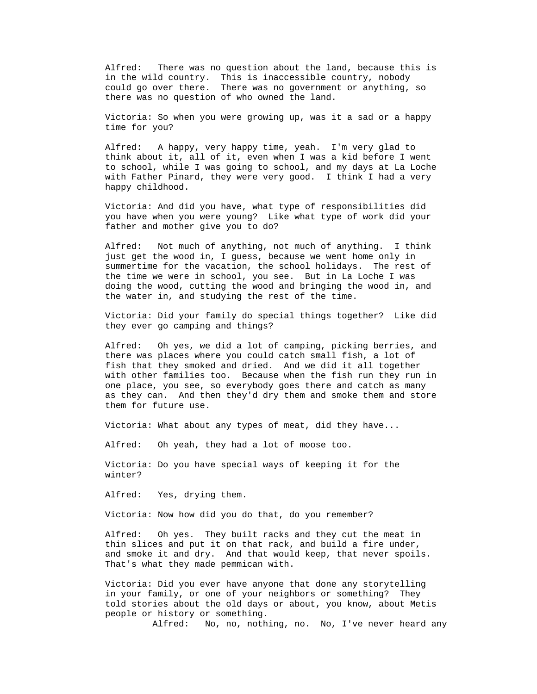Alfred: There was no question about the land, because this is in the wild country. This is inaccessible country, nobody could go over there. There was no government or anything, so there was no question of who owned the land.

 Victoria: So when you were growing up, was it a sad or a happy time for you?

 Alfred: A happy, very happy time, yeah. I'm very glad to think about it, all of it, even when I was a kid before I went to school, while I was going to school, and my days at La Loche with Father Pinard, they were very good. I think I had a very happy childhood.

 Victoria: And did you have, what type of responsibilities did you have when you were young? Like what type of work did your father and mother give you to do?

 Alfred: Not much of anything, not much of anything. I think just get the wood in, I guess, because we went home only in summertime for the vacation, the school holidays. The rest of the time we were in school, you see. But in La Loche I was doing the wood, cutting the wood and bringing the wood in, and the water in, and studying the rest of the time.

 Victoria: Did your family do special things together? Like did they ever go camping and things?

 Alfred: Oh yes, we did a lot of camping, picking berries, and there was places where you could catch small fish, a lot of fish that they smoked and dried. And we did it all together with other families too. Because when the fish run they run in one place, you see, so everybody goes there and catch as many as they can. And then they'd dry them and smoke them and store them for future use.

Victoria: What about any types of meat, did they have...

Oh yeah, they had a lot of moose too. Alfred:

Victoria: Do you have special ways of keeping it for the winter?

> Yes, drying them. Alfred:

Victoria: Now how did you do that, do you remember?

Oh yes. They built racks and they cut the meat in Alfred: thin slices and put it on that rack, and build a fire under, and smoke it and dry. And that would keep, that never spoils. That's what they made pemmican with.

Victoria: Did you ever have anyone that done any storytelling told stories about the old days or about, you know, about Metis in your family, or one of your neighbors or something? They people or history or something.

Alfred: No, no, nothing, no. No, I've never heard any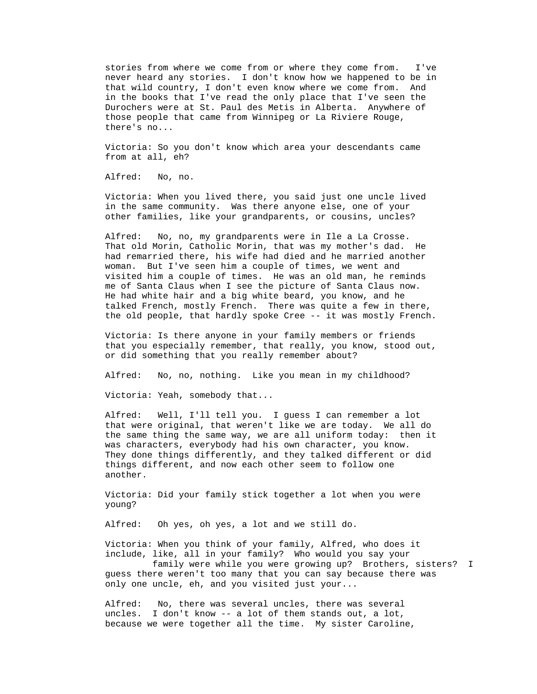stories from where we come from or where they come from. I've never heard any stories. I don't know how we happened to be in that wild country, I don't even know where we come from. And in the books that I've read the only place that I've seen the Durochers were at St. Paul des Metis in Alberta. Anywhere of those people that came from Winnipeg or La Riviere Rouge, there's no...

 Victoria: So you don't know which area your descendants came from at all, eh?

No, no. Alfred:

 Victoria: When you lived there, you said just one uncle lived in the same community. Was there anyone else, one of your other families, like your grandparents, or cousins, uncles?

No, no, my grandparents were in Ile a La Crosse. visited him a couple of times. He was an old man, he reminds talked French, mostly French. There was quite a few in there, Alfred: That old Morin, Catholic Morin, that was my mother's dad. He had remarried there, his wife had died and he married another woman. But I've seen him a couple of times, we went and me of Santa Claus when I see the picture of Santa Claus now. He had white hair and a big white beard, you know, and he the old people, that hardly spoke Cree -- it was mostly French.

Victoria: Is there anyone in your family members or friends that you especially remember, that really, you know, stood out, or did something that you really remember about?

Alfred: No, no, nothing. Like you mean in my childhood?

Victoria: Yeah, somebody that...

Well, I'll tell you. I guess I can remember a lot They done things differently, and they talked different or did Alfred: that were original, that weren't like we are today. We all do the same thing the same way, we are all uniform today: then it was characters, everybody had his own character, you know. things different, and now each other seem to follow one another.

Victoria: Did your family stick together a lot when you were young?

> Oh yes, oh yes, a lot and we still do. Alfred:

Victoria: When you think of your family, Alfred, who does it family were while you were growing up? Brothers, sisters? I include, like, all in your family? Who would you say your

 guess there weren't too many that you can say because there was only one uncle, eh, and you visited just your...

Alfred: No, there was several uncles, there was several uncles. I don't know -- a lot of them stands out, a lot, because we were together all the time. My sister Caroline,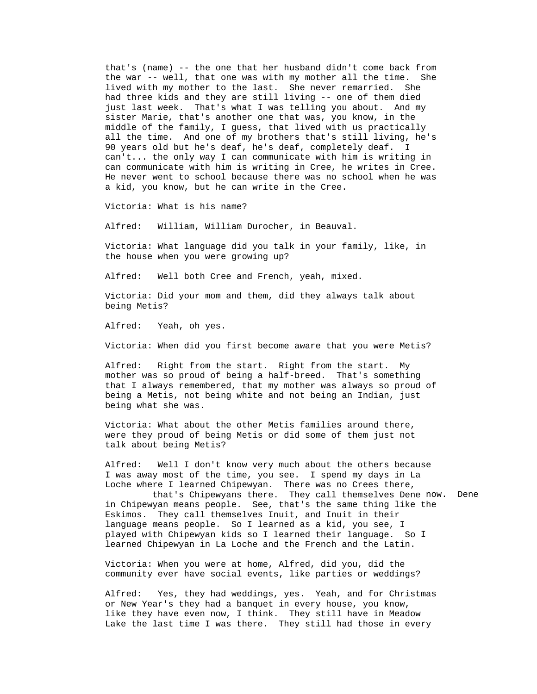that's (name) -- the one that her husband didn't come back from can't... the only way I can communicate with him is writing in the war -- well, that one was with my mother all the time. She lived with my mother to the last. She never remarried. She had three kids and they are still living -- one of them died just last week. That's what I was telling you about. And my sister Marie, that's another one that was, you know, in the middle of the family, I guess, that lived with us practically all the time. And one of my brothers that's still living, he's 90 years old but he's deaf, he's deaf, completely deaf. I can communicate with him is writing in Cree, he writes in Cree. He never went to school because there was no school when he was a kid, you know, but he can write in the Cree.

Victoria: What is his name?

Alfred: William, William Durocher, in Beauval.

Victoria: What language did you talk in your family, like, in the house when you were growing up?

> Well both Cree and French, yeah, mixed. Alfred:

Victoria: Did your mom and them, did they always talk about being Metis?

> Yeah, oh yes. Alfred:

Victoria: When did you first become aware that you were Metis?

Right from the start. Right from the start. My that I always remembered, that my mother was always so proud of Alfred: mother was so proud of being a half-breed. That's something being a Metis, not being white and not being an Indian, just being what she was.

Victoria: What about the other Metis families around there, were they proud of being Metis or did some of them just not talk about being Metis?

Alfred: Well I don't know very much about the others because I was away most of the time, you see. I spend my days in La Loche where I learned Chipewyan. There was no Crees there,

now. Dene played with Chipewyan kids so I learned their language. So I that's Chipewyans there. They call themselves Dene in Chipewyan means people. See, that's the same thing like the Eskimos. They call themselves Inuit, and Inuit in their language means people. So I learned as a kid, you see, I learned Chipewyan in La Loche and the French and the Latin.

Victoria: When you were at home, Alfred, did you, did the community ever have social events, like parties or weddings?

> Alfred: Yes, they had weddings, yes. Yeah, and for Christmas or New Year's they had a banquet in every house, you know, like they have even now, I think. They still have in Meadow Lake the last time I was there. They still had those in every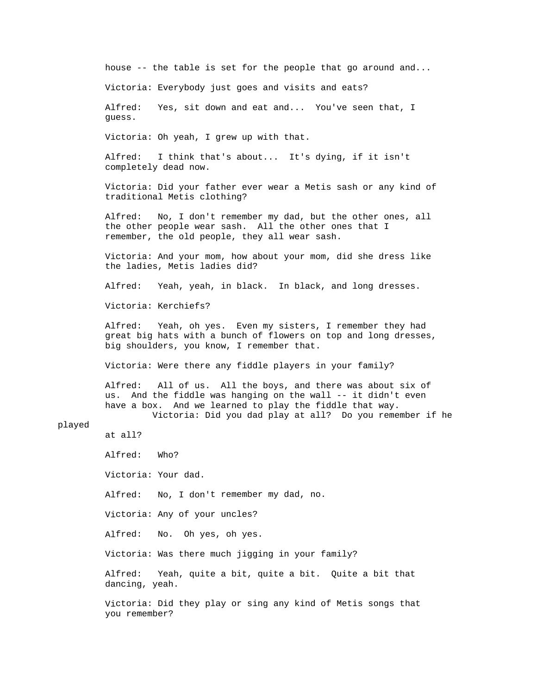house -- the table is set for the people that go around and... Victoria: Everybody just goes and visits and eats? I think that's about... It's dying, if it isn't Victoria: Did your father ever wear a Metis sash or any kind of No, I don't remember my dad, but the other ones, all Victoria: Kerchiefs? Yeah, oh yes. Even my sisters, I remember they had Victoria: Were there any fiddle players in your family? All of us. All the boys, and there was about six of Victoria: Did you dad play at all? Do you remember if he Alfred: Who? Victoria: Your dad. Alfred: No, I don't remember my dad, no. Victoria: Any of your uncles? No. Oh yes, oh yes. Victoria: Was there much jigging in your family? Yeah, quite a bit, quite a bit. Quite a bit that Victoria: Did they play or sing any kind of Metis songs that Alfred: Yes, sit down and eat and... You've seen that, I guess. Victoria: Oh yeah, I grew up with that. Alfred: completely dead now. traditional Metis clothing? Alfred: the other people wear sash. All the other ones that I remember, the old people, they all wear sash. Victoria: And your mom, how about your mom, did she dress like the ladies, Metis ladies did? Alfred: Yeah, yeah, in black. In black, and long dresses. Alfred: great big hats with a bunch of flowers on top and long dresses, big shoulders, you know, I remember that. Alfred: us. And the fiddle was hanging on the wall -- it didn't even have a box. And we learned to play the fiddle that way. played at all? Alfred: Alfred: dancing, yeah.

you remember?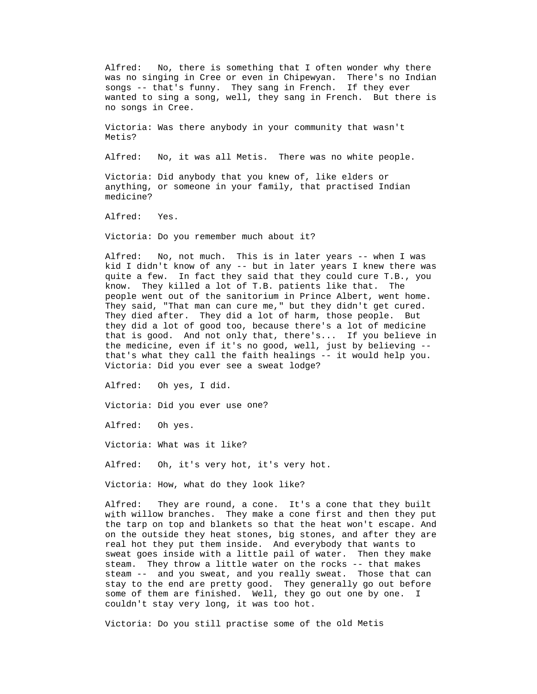Alfred: No, there is something that I often wonder why there was no singing in Cree or even in Chipewyan. There's no Indian songs -- that's funny. They sang in French. If they ever wanted to sing a song, well, they sang in French. But there is no songs in Cree.

Victoria: Was there anybody in your community that wasn't Metis?

> No, it was all Metis. There was no white people. Alfred:

anything, or someone in your family, that practised Indian Victoria: Did anybody that you knew of, like elders or medicine?

> Yes. Alfred:

Victoria: Do you remember much about it?

Alfred: No, not much. This is in later years -- when I was kid I didn't know of any -- but in later years I knew there was They said, "That man can cure me," but they didn't get cured. that is good. And not only that, there's... If you believe in quite a few. In fact they said that they could cure T.B., you know. They killed a lot of T.B. patients like that. The people went out of the sanitorium in Prince Albert, went home. They died after. They did a lot of harm, those people. But they did a lot of good too, because there's a lot of medicine the medicine, even if it's no good, well, just by believing - that's what they call the faith healings -- it would help you. Victoria: Did you ever see a sweat lodge?

Alfred: Oh yes, I did.

Victoria: Did you ever use one?

Alfred: Oh yes.

Victoria: What was it like?

Alfred: Oh, it's very hot, it's very hot.

Victoria: How, what do they look like?

Alfred: They are round, a cone. It's a cone that they built with willow branches. They make a cone first and then they put the tarp on top and blankets so that the heat won't escape. And on the outside they heat stones, big stones, and after they are real hot they put them inside. And everybody that wants to sweat goes inside with a little pail of water. Then they make steam. They throw a little water on the rocks -- that makes steam -- and you sweat, and you really sweat. Those that can stay to the end are pretty good. They generally go out before some of them are finished. Well, they go out one by one. I couldn't stay very long, it was too hot.

Victoria: Do you still practise some of the old Metis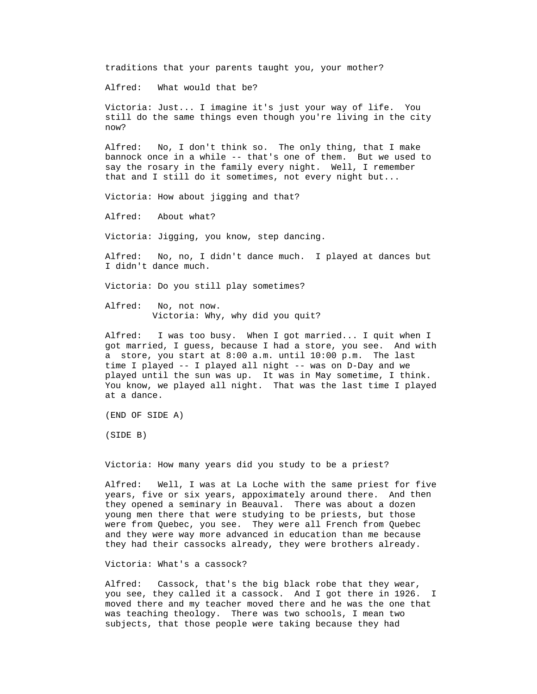traditions that your parents taught you, your mother?

Alfred: What would that be?

Victoria: Just... I imagine it's just your way of life. You still do the same things even though you're living in the city now?

No, I don't think so. The only thing, that I make bannock once in a while -- that's one of them. But we used to Alfred say the rosary in the family every night. Well, I remember that and I still do it sometimes, not every night but...

Victoria: How about jigging and that?

Alfred: About what?

Victoria: Jigging, you know, step dancing.

Alfred: No, no, I didn't dance much. I played at dances but I didn't dance much.

Victoria: Do you still play sometimes?

Victoria: Why, why did you quit? Alfred: No, not now.

Alfred: I was too busy. When I got married... I quit when I got married, I guess, because I had a store, you see. And with You know, we played all night. That was the last time I played a store, you start at 8:00 a.m. until 10:00 p.m. The last time I played -- I played all night -- was on D-Day and we played until the sun was up. It was in May sometime, I think. at a dance.

(END OF SIDE A)

(SIDE B)

Victoria: How many years did you study to be a priest?

Alfred: Well, I was at La Loche with the same priest for five years, five or six years, appoximately around there. And then they opened a seminary in Beauval. There was about a dozen young men there that were studying to be priests, but those were from Quebec, you see. They were all French from Quebec and they were way more advanced in education than me because they had their cassocks already, they were brothers already.

Victoria: What's a cassock?

Alfred: Cassock, that's the big black robe that they wear, you see, they called it a cassock. And I got there in 1926. I moved there and my teacher moved there and he was the one that was teaching theology. There was two schools, I mean two subjects, that those people were taking because they had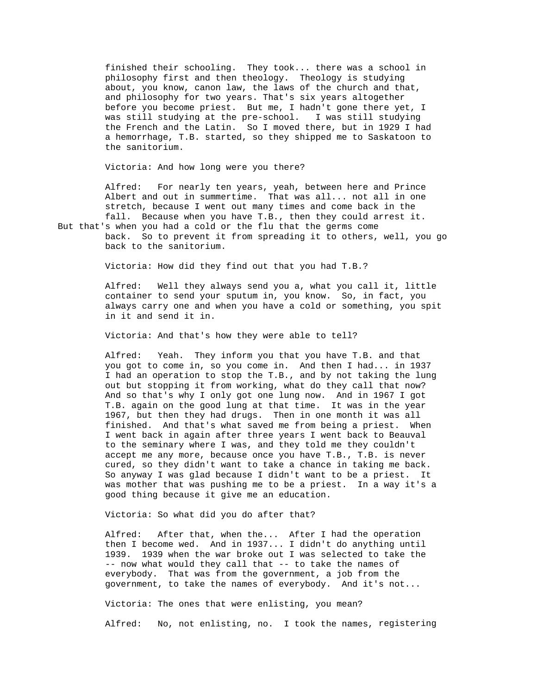finished their schooling. They took... there was a school in g was still studying at the pre-school. I was still studyin philosophy first and then theology. Theology is studying about, you know, canon law, the laws of the church and that, and philosophy for two years. That's six years altogether before you become priest. But me, I hadn't gone there yet, I the French and the Latin. So I moved there, but in 1929 I had a hemorrhage, T.B. started, so they shipped me to Saskatoon to the sanitorium.

Victoria: And how long were you there?

Alfred: For nearly ten years, yeah, between here and Prince Albert and out in summertime. That was all... not all in one stretch, because I went out many times and come back in the fall. Because when you have T.B., then they could arrest it.

But that's when you had a cold or the flu that the germs come back. So to prevent it from spreading it to others, well, you go back to the sanitorium.

Victoria: How did they find out that you had T.B.?

Alfred: Well they always send you a, what you call it, little container to send your sputum in, you know. So, in fact, you always carry one and when you have a cold or something, you spit in it and send it in.

Victoria: And that's how they were able to tell?

Alfred: Yeah. They inform you that you have T.B. and that you got to come in, so you come in. And then I had... in 1937 I had an operation to stop the T.B., and by not taking the lung out but stopping it from working, what do they call that now? And so that's why I only got one lung now. And in 1967 I got T.B. again on the good lung at that time. It was in the year 1967, but then they had drugs. Then in one month it was all finished. And that's what saved me from being a priest. When I went back in again after three years I went back to Beauval to the seminary where I was, and they told me they couldn't accept me any more, because once you have T.B., T.B. is never cured, so they didn't want to take a chance in taking me back. So anyway I was glad because I didn't want to be a priest. It was mother that was pushing me to be a priest. In a way it's a good thing because it give me an education.

Victoria: So what did you do after that?

Alfred: After that, when the... After I had the operation then I become wed. And in 1937... I didn't do anything until 1939. 1939 when the war broke out I was selected to take the -- now what would they call that -- to take the names of everybody. That was from the government, a job from the government, to take the names of everybody. And it's not...

Victoria: The ones that were enlisting, you mean?

Alfred: No, not enlisting, no. I took the names, registering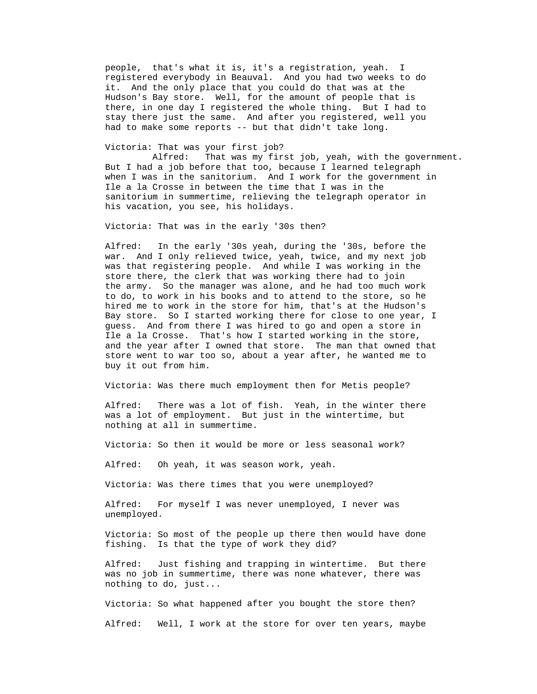people, that's what it is, it's a registration, yeah. I there, in one day I registered the whole thing. But I had to registered everybody in Beauval. And you had two weeks to do it. And the only place that you could do that was at the Hudson's Bay store. Well, for the amount of people that is stay there just the same. And after you registered, well you had to make some reports -- but that didn't take long.

Victoria: That was your first job?

 Alfred: That was my first job, yeah, with the government. But I had a job before that too, because I learned telegraph when I was in the sanitorium. And I work for the government in Ile a la Crosse in between the time that I was in the sanitorium in summertime, relieving the telegraph operator in his vacation, you see, his holidays.

Victoria: That was in the early '30s then?

Alfred: In the early '30s yeah, during the '30s, before the to do, to work in his books and to attend to the store, so he war. And I only relieved twice, yeah, twice, and my next job was that registering people. And while I was working in the store there, the clerk that was working there had to join the army. So the manager was alone, and he had too much work hired me to work in the store for him, that's at the Hudson's Bay store. So I started working there for close to one year, I guess. And from there I was hired to go and open a store in Ile a la Crosse. That's how I started working in the store, and the year after I owned that store. The man that owned that store went to war too so, about a year after, he wanted me to buy it out from him.

Victoria: Was there much employment then for Metis people?

was a lot of employment. But just in the wintertime, but Alfred: There was a lot of fish. Yeah, in the winter there nothing at all in summertime.

Victoria: So then it would be more or less seasonal work?

Alfred: Oh yeah, it was season work, yeah.

Victoria: Was there times that you were unemployed?

Alfred: For myself I was never unemployed, I never was unemployed.

Victoria: So most of the people up there then would have done fishing. Is that the type of work they did?

Alfred: Just fishing and trapping in wintertime. But there was no job in summertime, there was none whatever, there was nothing to do, just...

Victoria: So what happened after you bought the store then?

Alfred: Well, I work at the store for over ten years, maybe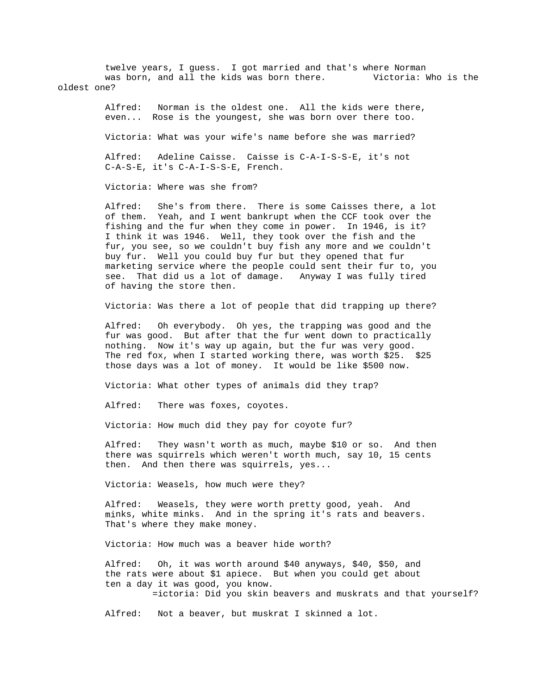twelve years, I guess. I got married and that's where Norman Victoria: Who is the was born, and all the kids was born there. oldest one?

Norman is the oldest one. All the kids were there, even... Rose is the youngest, she was born over there too. Alfred:

Victoria: What was your wife's name before she was married?

 Alfred: Adeline Caisse. Caisse is C-A-I-S-S-E, it's not C-A-S-E, it's C-A-I-S-S-E, French.

Victoria: Where was she from?

Alfred: She's from there. There is some Caisses there, a lot of them. Yeah, and I went bankrupt when the CCF took over the see. That did us a lot of damage. Anyway I was fully tired fishing and the fur when they come in power. In 1946, is it? I think it was 1946. Well, they took over the fish and the fur, you see, so we couldn't buy fish any more and we couldn't buy fur. Well you could buy fur but they opened that fur marketing service where the people could sent their fur to, you of having the store then.

Victoria: Was there a lot of people that did trapping up there?

fur was good. But after that the fur went down to practically Alfred: Oh everybody. Oh yes, the trapping was good and the nothing. Now it's way up again, but the fur was very good. The red fox, when I started working there, was worth \$25. \$25 those days was a lot of money. It would be like \$500 now.

Victoria: What other types of animals did they trap?

Alfred: There was foxes, coyotes.

Victoria: How much did they pay for coyote fur?

Alfred: They wasn't worth as much, maybe \$10 or so. And then there was squirrels which weren't worth much, say 10, 15 cents then. And then there was squirrels, yes...

Victoria: Weasels, how much were they?

Alfred: Weasels, they were worth pretty good, yeah. And minks, white minks. And in the spring it's rats and beavers. That's where they make money.

Victoria: How much was a beaver hide worth?

Alfred: Oh, it was worth around \$40 anyways, \$40, \$50, and the rats were about \$1 apiece. But when you could get about ten a day it was good, you know.

=ictoria: Did you skin beavers and muskrats and that yourself?

Alfred: Not a beaver, but muskrat I skinned a lot.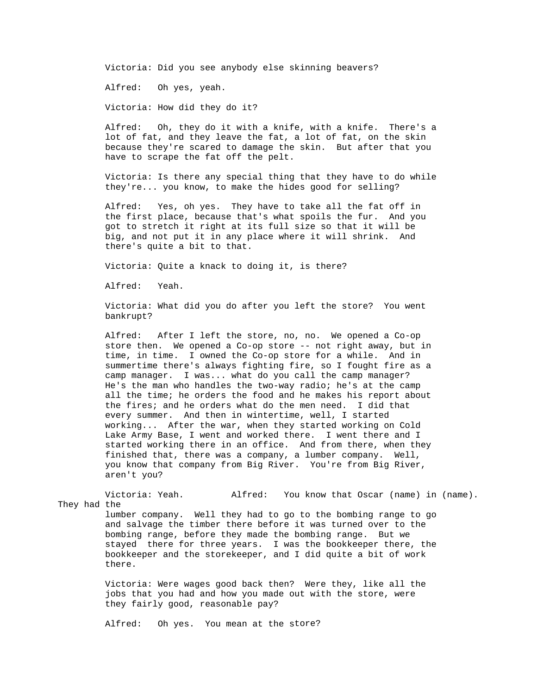Victoria: Did you see anybody else skinning beavers?

Alfred: Oh yes, yeah.

Victoria: How did they do it?

Alfred: Oh, they do it with a knife, with a knife. There's a lot of fat, and they leave the fat, a lot of fat, on the skin because they're scared to damage the skin. But after that you have to scrape the fat off the pelt.

Victoria: Is there any special thing that they have to do while they're... you know, to make the hides good for selling?

Alfred: Yes, oh yes. They have to take all the fat off in the first place, because that's what spoils the fur. And you got to stretch it right at its full size so that it will be big, and not put it in any place where it will shrink. And there's quite a bit to that.

Victoria: Quite a knack to doing it, is there?

Alfred: Yeah.

there.

Victoria: What did you do after you left the store? You went bankrupt?

After I left the store, no, no. We opened a Co-op store then. We opened a Co-op store -- not right away, but in all the time; he orders the food and he makes his report about Lake Army Base, I went and worked there. I went there and I Alfred: time, in time. I owned the Co-op store for a while. And in summertime there's always fighting fire, so I fought fire as a camp manager. I was... what do you call the camp manager? He's the man who handles the two-way radio; he's at the camp the fires; and he orders what do the men need. I did that every summer. And then in wintertime, well, I started working... After the war, when they started working on Cold started working there in an office. And from there, when they finished that, there was a company, a lumber company. Well, you know that company from Big River. You're from Big River, aren't you?

Victoria: Yeah. Alfred: You know that Oscar (name) in (name). They had the lumber company. Well they had to go to the bombing range to go and salvage the timber there before it was turned over to the bombing range, before they made the bombing range. But we stayed there for three years. I was the bookkeeper there, the bookkeeper and the storekeeper, and I did quite a bit of work

> Victoria: Were wages good back then? Were they, like all the jobs that you had and how you made out with the store, were they fairly good, reasonable pay?

Alfred: Oh yes. You mean at the store?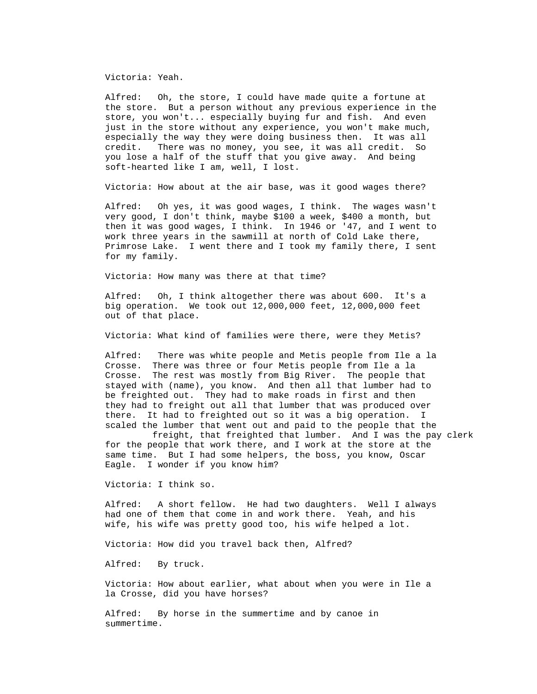Victoria: Yeah.

 Alfred: Oh, the store, I could have made quite a fortune at the store. But a person without any previous experience in the store, you won't... especially buying fur and fish. And even just in the store without any experience, you won't make much, especially the way they were doing business then. It was all credit. There was no money, you see, it was all credit. So you lose a half of the stuff that you give away. And being soft-hearted like I am, well, I lost.

Victoria: How about at the air base, was it good wages there?

very good, I don't think, maybe \$100 a week, \$400 a month, but Alfred: Oh yes, it was good wages, I think. The wages wasn't then it was good wages, I think. In 1946 or '47, and I went to work three years in the sawmill at north of Cold Lake there, Primrose Lake. I went there and I took my family there, I sent for my family.

Victoria: How many was there at that time?

Alfred: Oh, I think altogether there was about 600. It's a big operation. We took out  $12,000,000$  feet,  $12,000,000$  feet out of that place.

Victoria: What kind of families were there, were they Metis?

Crosse. There was three or four Metis people from Ile a la stayed with (name), you know. And then all that lumber had to Alfred: There was white people and Metis people from Ile a la Crosse. The rest was mostly from Big River. The people that be freighted out. They had to make roads in first and then they had to freight out all that lumber that was produced over there. It had to freighted out so it was a big operation. I scaled the lumber that went out and paid to the people that the

freight, that freighted that lumber. And I was the pay clerk for the people that work there, and I work at the store at the same time. But I had some helpers, the boss, you know, Oscar Eagle. I wonder if you know him?

Victoria: I think so.

Alfred: A short fellow. He had two daughters. Well I always had one of them that come in and work there. Yeah, and his wife, his wife was pretty good too, his wife helped a lot.

Victoria: How did you travel back then, Alfred?

Alfred: By truck.

Victoria: How about earlier, what about when you were in Ile a la Crosse, did you have horses?

summertime. Alfred: By horse in the summertime and by canoe in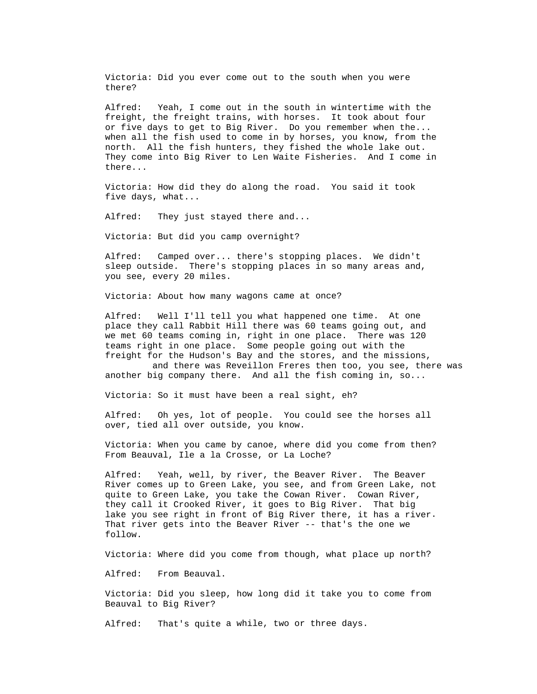Victoria: Did you ever come out to the south when you were there?

 Yeah, I come out in the south in wintertime with the freight, the freight trains, with horses. It took about four Alfred: or five days to get to Big River. Do you remember when the... when all the fish used to come in by horses, you know, from the north. All the fish hunters, they fished the whole lake out. They come into Big River to Len Waite Fisheries. And I come in there...

Victoria: How did they do along the road. You said it took five days, what...

Alfred: They just stayed there and...

Victoria: But did you camp overnight?

Alfred: Camped over... there's stopping places. We didn't sleep outside. There's stopping places in so many areas and, you see, every 20 miles.

Victoria: About how many wagons came at once?

Alfred: Well I'll tell you what happened one time. At one place they call Rabbit Hill there was 60 teams going out, and we met 60 teams coming in, right in one place. There was 120 teams right in one place. Some people going out with the freight for the Hudson's Bay and the stores, and the missions,

and there was Reveillon Freres then too, you see, there was another big company there. And all the fish coming in, so...

Victoria: So it must have been a real sight, eh?

Alfred: Oh yes, lot of people. You could see the horses all over, tied all over outside, you know.

Victoria: When you came by canoe, where did you come from then? om Beauval, Ile a la Crosse, or La Loche? Fr

Alfred: Yeah, well, by river, the Beaver River. The Beaver River comes up to Green Lake, you see, and from Green Lake, not . lake you see right in front of Big River there, it has a river quite to Green Lake, you take the Cowan River. Cowan River, they call it Crooked River, it goes to Big River. That big That river gets into the Beaver River -- that's the one we follow.

Victoria: Where did you come from though, what place up north?

Alfred: From Beauval.

Victoria: Did you sleep, how long did it take you to come from Beauval to Big River?

Alfred: That's quite a while, two or three days.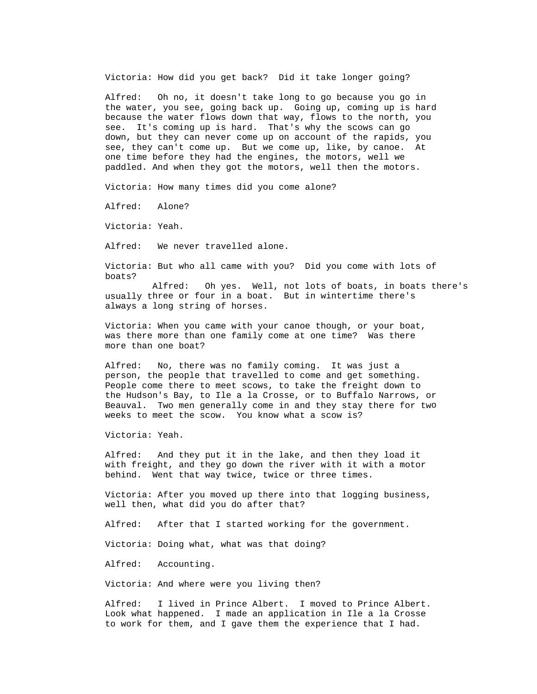Victoria: How did you get back? Did it take longer going?

the water, you see, going back up. Going up, coming up is hard see, they can't come up. But we come up, like, by canoe. At Alfred: Oh no, it doesn't take long to go because you go in because the water flows down that way, flows to the north, you see. It's coming up is hard. That's why the scows can go down, but they can never come up on account of the rapids, you one time before they had the engines, the motors, well we paddled. And when they got the motors, well then the motors.

Victoria: How many times did you come alone?

Alfred: Alone?

Victoria: Yeah.

We never travelled alone. Alfred:

Victoria: But who all came with you? Did you come with lots of boats?

Alfred: Oh yes. Well, not lots of boats, in boats there's usually three or four in a boat. But in wintertime there's always a long string of horses.

Victoria: When you came with your canoe though, or your boat, was there more than one family come at one time? Was there more than one boat?

Alfred: No, there was no family coming. It was just a person, the people that travelled to come and get something. People come there to meet scows, to take the freight down to Beauval. Two men generally come in and they stay there for two the Hudson's Bay, to Ile a la Crosse, or to Buffalo Narrows, or weeks to meet the scow. You know what a scow is?

Victoria: Yeah.

Alfred: And they put it in the lake, and then they load it with freight, and they go down the river with it with a motor behind. Went that way twice, twice or three times.

well then, what did you do after that? Victoria: After you moved up there into that logging business,

Alfred: After that I started working for the government.

Victoria: Doing what, what was that doing?

Alfred: Accounting.

Victoria: And where were you living then?

Alfred: I lived in Prince Albert. I moved to Prince Albert. Look what happened. I made an application in Ile a la Crosse to work for them, and I gave them the experience that I had.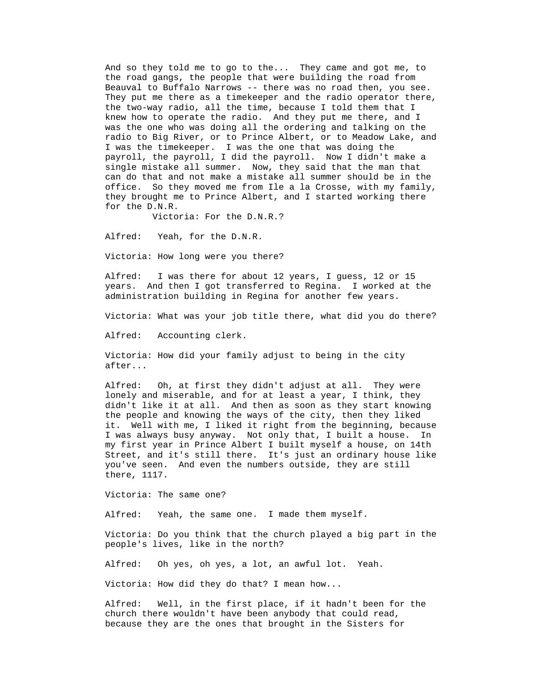And so they told me to go to the... They came and got me, to the road gangs, the people that were building the road from Beauval to Buffalo Narrows -- there was no road then, you see. They put me there as a timekeeper and the radio operator there, radio to Big River, or to Prince Albert, or to Meadow Lake, and office. So they moved me from Ile a la Crosse, with my family, the two-way radio, all the time, because I told them that I knew how to operate the radio. And they put me there, and I was the one who was doing all the ordering and talking on the I was the timekeeper. I was the one that was doing the payroll, the payroll, I did the payroll. Now I didn't make a single mistake all summer. Now, they said that the man that can do that and not make a mistake all summer should be in the they brought me to Prince Albert, and I started working there for the D.N.R.

Victoria: For the D.N.R.?

Alfred: Yeah, for the D.N.R.

Victoria: How long were you there?

Alfred: I was there for about 12 years, I guess, 12 or 15 years. And then I got transferred to Regina. I worked at the administration building in Regina for another few years.

Victoria: What was your job title there, what did you do there?

Alfred: Accounting clerk.

Victoria: How did your family adjust to being in the city after...

Oh, at first they didn't adjust at all. They were lonely and miserable, and for at least a year, I think, they Alfred: didn't like it at all. And then as soon as they start knowing the people and knowing the ways of the city, then they liked it. Well with me, I liked it right from the beginning, because I was always busy anyway. Not only that, I built a house. In my first year in Prince Albert I built myself a house, on 14th Street, and it's still there. It's just an ordinary house like you've seen. And even the numbers outside, they are still there, 1117.

Victoria: The same one?

Alfred: Yeah, the same one. I made them myself.

Victoria: Do you think that the church played a big part in the people's lives, like in the north?

Alfred: Oh yes, oh yes, a lot, an awful lot. Yeah.

Victoria: How did they do that? I mean how...

Alfred: Well, in the first place, if it hadn't been for the church there wouldn't have been anybody that could read, because they are the ones that brought in the Sisters for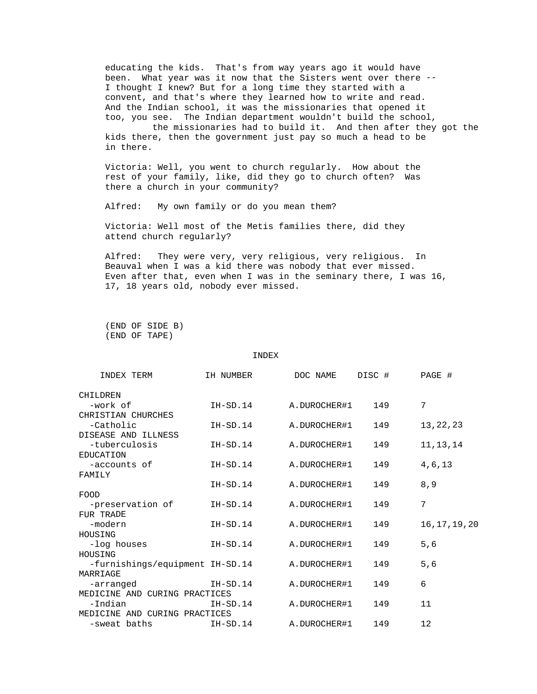educating the kids. That's from way years ago it would have been. What year was it now that the Sisters went over there -- I thought I knew? But for a long time they started with a convent, and that's where they learned how to write and read. And the Indian school, it was the missionaries that opened it too, you see. The Indian department wouldn't build the school,

the missionaries had to build it. And then after they got the kids there, then the government just pay so much a head to be in there.

Victoria: Well, you went to church regularly. How about the rest of your family, like, did they go to church often? Was there a church in your community?

Alfred: My own family or do you mean them?

Victoria: Well most of the Metis families there, did they attend church regularly?

Alfred: They were very, very religious, very religious. In Beauval when I was a kid there was nobody that ever missed. Even after that, even when I was in the seminary there, I was 16, 17, 18 years old, nobody ever missed.

(END OF SIDE B) (END OF TAPE)

## INDEX

| INDEX TERM                               | IH NUMBER    | DOC NAME     | DISC # | PAGE #         |
|------------------------------------------|--------------|--------------|--------|----------------|
| CHILDREN                                 |              |              |        |                |
| -work of                                 | $IH - SD.14$ | A.DUROCHER#1 | 149    | 7              |
| CHRISTIAN CHURCHES                       |              |              |        |                |
| -Catholic                                | $IH-SD.14$   | A.DUROCHER#1 | 149    | 13, 22, 23     |
| DISEASE AND ILLNESS                      |              |              |        |                |
| -tuberculosis                            | $IH-SD.14$   | A.DUROCHER#1 | 149    | 11, 13, 14     |
| EDUCATION                                |              |              |        |                |
| -accounts of                             | $IH-SD.14$   | A.DUROCHER#1 | 149    | 4,6,13         |
| FAMILY                                   |              |              |        |                |
|                                          | $IH-SD.14$   | A.DUROCHER#1 | 149    | 8,9            |
| FOOD                                     |              |              |        |                |
| -preservation of                         | $IH-SD.14$   | A.DUROCHER#1 | 149    | 7              |
| FUR TRADE                                |              |              |        |                |
| -modern                                  | $IH-SD.14$   | A.DUROCHER#1 | 149    | 16, 17, 19, 20 |
| HOUSING                                  |              |              |        |                |
| -log houses                              | $IH-SD.14$   | A.DUROCHER#1 | 149    | 5,6            |
| HOUSING                                  |              |              |        |                |
| -furnishings/equipment IH-SD.14          |              | A.DUROCHER#1 | 149    | 5,6            |
| MARRIAGE                                 |              |              |        |                |
| -arranged                                | IH-SD.14     | A.DUROCHER#1 | 149    | 6              |
| MEDICINE AND CURING PRACTICES            |              |              | 149    | 11             |
| -Indian<br>MEDICINE AND CURING PRACTICES | IH-SD.14     | A.DUROCHER#1 |        |                |
| -sweat baths                             | IH-SD.14     | A.DUROCHER#1 | 149    | 12             |
|                                          |              |              |        |                |